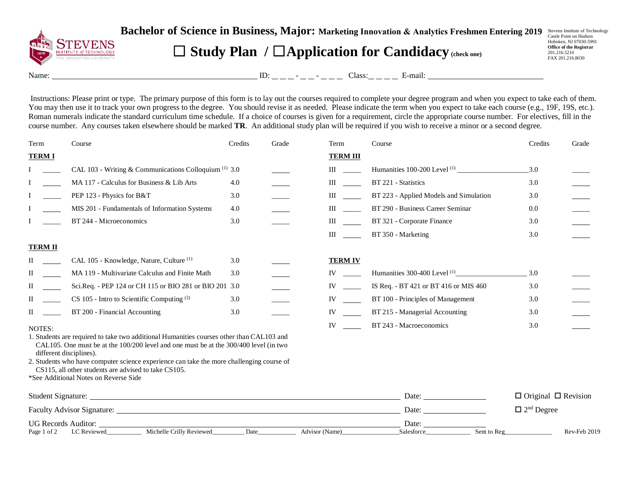

**Bachelor of Science in Business, Major:** Marketing Innovation & Analytics Freshmen Entering 2019 Sevens Institute of Technology

## ☐ **Study Plan /** ☐**Application for Candidacy (check one)**

Hoboken, NJ 07030-5991 **Office of the Registrar**  201.216.5210 FAX 201.216.8030

Name: ID: - - Class: E-mail:

Instructions: Please print or type. The primary purpose of this form is to lay out the courses required to complete your degree program and when you expect to take each of them. You may then use it to track your own progress to the degree. You should revise it as needed. Please indicate the term when you expect to take each course (e.g., 19F, 19S, etc.). Roman numerals indicate the standard curriculum time schedule. If a choice of courses is given for a requirement, circle the appropriate course number. For electives, fill in the course number. Any courses taken elsewhere should be marked **TR**. An additional study plan will be required if you wish to receive a minor or a second degree.

| Term           | Course                                                                                                                                                                                                           | Credits | Grade | Term                                                                                                                                                                                                                           | Course                                  | Credits                    | Grade                           |  |
|----------------|------------------------------------------------------------------------------------------------------------------------------------------------------------------------------------------------------------------|---------|-------|--------------------------------------------------------------------------------------------------------------------------------------------------------------------------------------------------------------------------------|-----------------------------------------|----------------------------|---------------------------------|--|
| <b>TERMI</b>   |                                                                                                                                                                                                                  |         |       | <b>TERM III</b>                                                                                                                                                                                                                |                                         |                            |                                 |  |
|                | CAL 103 - Writing & Communications Colloquium <sup>(1)</sup> 3.0                                                                                                                                                 |         |       | $\mathbf{III}$                                                                                                                                                                                                                 |                                         | 3.0                        |                                 |  |
|                | MA 117 - Calculus for Business & Lib Arts                                                                                                                                                                        | 4.0     |       | $\mathbf{III}$ and $\mathbf{III}$                                                                                                                                                                                              | BT 221 - Statistics                     | 3.0                        |                                 |  |
|                | PEP 123 - Physics for B&T                                                                                                                                                                                        | 3.0     |       | III and a structure of the structure                                                                                                                                                                                           | BT 223 - Applied Models and Simulation  | 3.0                        |                                 |  |
|                | MIS 201 - Fundamentals of Information Systems                                                                                                                                                                    | 4.0     |       | $\mathbf{III}$ and $\mathbf{III}$                                                                                                                                                                                              | BT 290 - Business Career Seminar        | 0.0                        |                                 |  |
|                | BT 244 - Microeconomics                                                                                                                                                                                          | 3.0     |       | III                                                                                                                                                                                                                            | BT 321 - Corporate Finance              | 3.0                        |                                 |  |
|                |                                                                                                                                                                                                                  |         |       | Ш                                                                                                                                                                                                                              | BT 350 - Marketing                      | 3.0                        |                                 |  |
| <b>TERM II</b> |                                                                                                                                                                                                                  |         |       |                                                                                                                                                                                                                                |                                         |                            |                                 |  |
| П              | CAL 105 - Knowledge, Nature, Culture <sup>(1)</sup>                                                                                                                                                              | 3.0     |       | <b>TERM IV</b>                                                                                                                                                                                                                 |                                         |                            |                                 |  |
| П              | MA 119 - Multivariate Calculus and Finite Math                                                                                                                                                                   | 3.0     |       | IV and the set of the set of the set of the set of the set of the set of the set of the set of the set of the set of the set of the set of the set of the set of the set of the set of the set of the set of the set of the se | Humanities 300-400 Level <sup>(1)</sup> | 3.0                        |                                 |  |
| $\mathbf{I}$   | Sci.Req. - PEP 124 or CH 115 or BIO 281 or BIO 201 3.0                                                                                                                                                           |         |       | $IV \t —$                                                                                                                                                                                                                      | IS Req. - BT 421 or BT 416 or MIS 460   | 3.0                        |                                 |  |
| $\Pi$          | $CS$ 105 - Intro to Scientific Computing $(2)$                                                                                                                                                                   | 3.0     |       | IV                                                                                                                                                                                                                             | BT 100 - Principles of Management       | 3.0                        |                                 |  |
| $\mathbf{I}$   | BT 200 - Financial Accounting                                                                                                                                                                                    | 3.0     |       | IV                                                                                                                                                                                                                             | BT 215 - Managerial Accounting          | 3.0                        |                                 |  |
| NOTES:         |                                                                                                                                                                                                                  |         |       | IV                                                                                                                                                                                                                             | BT 243 - Macroeconomics                 | 3.0                        |                                 |  |
|                | 1. Students are required to take two additional Humanities courses other than CAL103 and<br>CAL105. One must be at the $100/200$ level and one must be at the $300/400$ level (in two<br>different disciplines). |         |       |                                                                                                                                                                                                                                |                                         |                            |                                 |  |
|                | 2. Students who have computer science experience can take the more challenging course of<br>CS115, all other students are advised to take CS105.                                                                 |         |       |                                                                                                                                                                                                                                |                                         |                            |                                 |  |
|                | *See Additional Notes on Reverse Side                                                                                                                                                                            |         |       |                                                                                                                                                                                                                                |                                         |                            |                                 |  |
|                |                                                                                                                                                                                                                  |         |       |                                                                                                                                                                                                                                | Date:                                   |                            | $\Box$ Original $\Box$ Revision |  |
|                |                                                                                                                                                                                                                  |         |       |                                                                                                                                                                                                                                | Date:                                   | $\Box$ $2^{\rm nd}$ Degree |                                 |  |
| Page 1 of 2    | UG Records Auditor:<br>Michelle Crilly Reviewed<br>LC Reviewed                                                                                                                                                   | Date    |       | Advisor (Name)                                                                                                                                                                                                                 | Date:<br>Sent to Reg<br>Salesforce      |                            | Rev-Feb 2019                    |  |